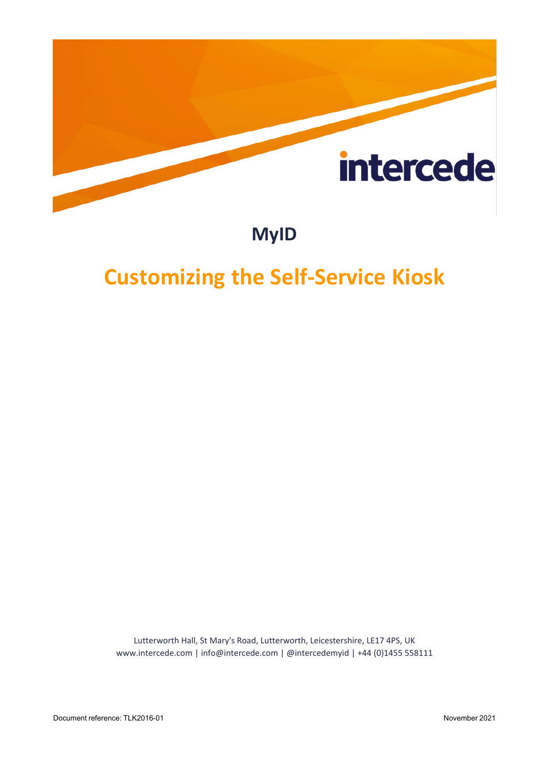

### **MyID**

## <span id="page-0-0"></span>**Customizing the Self-Service Kiosk**

Lutterworth Hall, St Mary's Road, Lutterworth, Leicestershire, LE17 4PS, UK www.intercede.com | info@intercede.com | @intercedemyid | +44 (0)1455 558111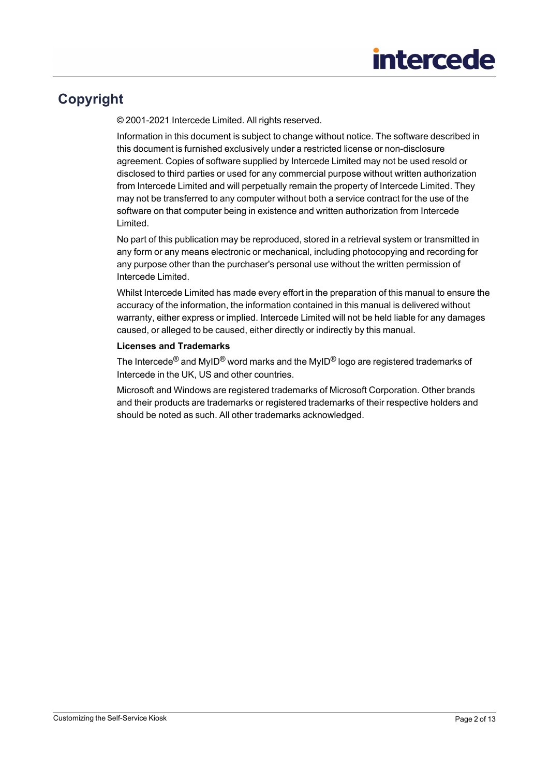### <span id="page-1-0"></span>**Copyright**

© 2001-2021 Intercede Limited. All rights reserved.

Information in this document is subject to change without notice. The software described in this document is furnished exclusively under a restricted license or non-disclosure agreement. Copies of software supplied by Intercede Limited may not be used resold or disclosed to third parties or used for any commercial purpose without written authorization from Intercede Limited and will perpetually remain the property of Intercede Limited. They may not be transferred to any computer without both a service contract for the use of the software on that computer being in existence and written authorization from Intercede Limited.

No part of this publication may be reproduced, stored in a retrieval system or transmitted in any form or any means electronic or mechanical, including photocopying and recording for any purpose other than the purchaser's personal use without the written permission of Intercede Limited.

Whilst Intercede Limited has made every effort in the preparation of this manual to ensure the accuracy of the information, the information contained in this manual is delivered without warranty, either express or implied. Intercede Limited will not be held liable for any damages caused, or alleged to be caused, either directly or indirectly by this manual.

#### **Licenses and Trademarks**

The Intercede<sup>®</sup> and MyID<sup>®</sup> word marks and the MyID<sup>®</sup> logo are registered trademarks of Intercede in the UK, US and other countries.

Microsoft and Windows are registered trademarks of Microsoft Corporation. Other brands and their products are trademarks or registered trademarks of their respective holders and should be noted as such. All other trademarks acknowledged.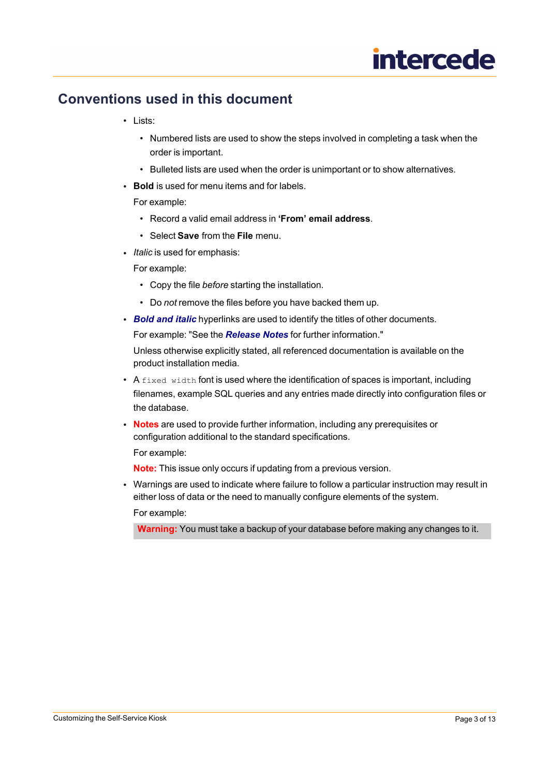#### <span id="page-2-0"></span>**Conventions used in this document**

- Lists:
	- Numbered lists are used to show the steps involved in completing a task when the order is important.
	- Bulleted lists are used when the order is unimportant or to show alternatives.
- **Bold** is used for menu items and for labels.

#### For example:

- Record a valid email address in **'From' email address**.
- Select **Save** from the **File** menu.
- *Italic* is used for emphasis:

For example:

- Copy the file *before* starting the installation.
- Do *not* remove the files before you have backed them up.
- *Bold and italic* hyperlinks are used to identify the titles of other documents.

For example: "See the *Release Notes* for further information."

Unless otherwise explicitly stated, all referenced documentation is available on the product installation media.

- $\bullet$  A  $\text{fixed width}$  font is used where the identification of spaces is important, including filenames, example SQL queries and any entries made directly into configuration files or the database.
- **Notes** are used to provide further information, including any prerequisites or configuration additional to the standard specifications.

For example:

**Note:** This issue only occurs if updating from a previous version.

• Warnings are used to indicate where failure to follow a particular instruction may result in either loss of data or the need to manually configure elements of the system. For example:

**Warning:** You must take a backup of your database before making any changes to it.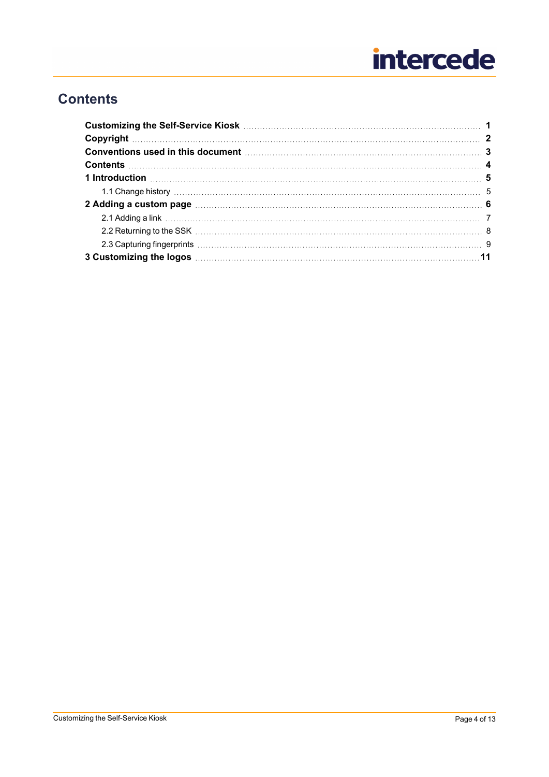### <span id="page-3-0"></span>**Contents**

| Conventions used in this document <b>manufacture and the conventions</b> and the set of the set of the set of the set of the set of the set of the set of the set of the set of the set of the set of the set of the set of the set  |  |  |
|--------------------------------------------------------------------------------------------------------------------------------------------------------------------------------------------------------------------------------------|--|--|
|                                                                                                                                                                                                                                      |  |  |
|                                                                                                                                                                                                                                      |  |  |
|                                                                                                                                                                                                                                      |  |  |
| 2 Adding a custom page <b>contained a contract a contract of the contract of the contract of the contract of the contract of the contract of the contract of the contract of the contract of the contract of the contract of the</b> |  |  |
|                                                                                                                                                                                                                                      |  |  |
|                                                                                                                                                                                                                                      |  |  |
|                                                                                                                                                                                                                                      |  |  |
|                                                                                                                                                                                                                                      |  |  |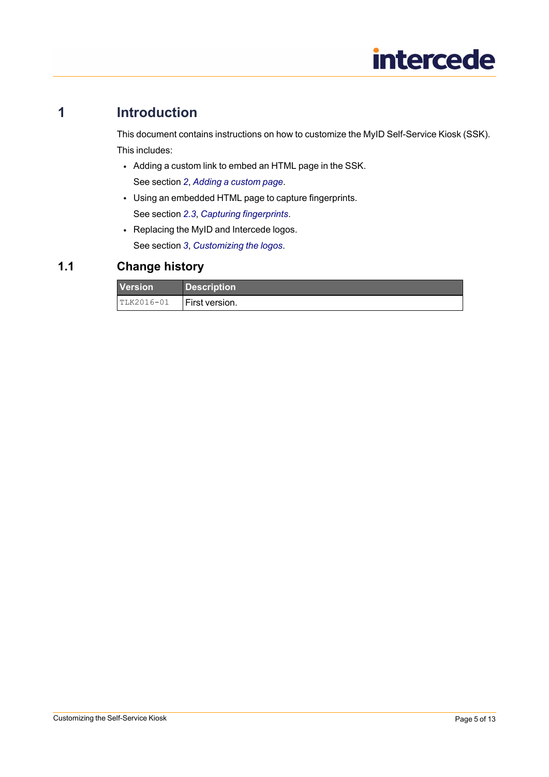### **1 Introduction**

<span id="page-4-0"></span>This document contains instructions on how to customize the MyID Self-Service Kiosk (SSK). This includes:

- Adding a custom link to embed an HTML page in the SSK. See section *2*, *Adding a [custom](#page-5-0) page*.
- Using an embedded HTML page to capture fingerprints. See section *2.3*, *Capturing [fingerprints](#page-8-0)*.
- <span id="page-4-1"></span>• Replacing the MyID and Intercede logos. See section *3*, *[Customizing](#page-10-0) the logos*.

#### **1.1 Change history**

| <b>Version</b> | <b>Description</b> |
|----------------|--------------------|
| $ITLK2016-01$  | I First version.   |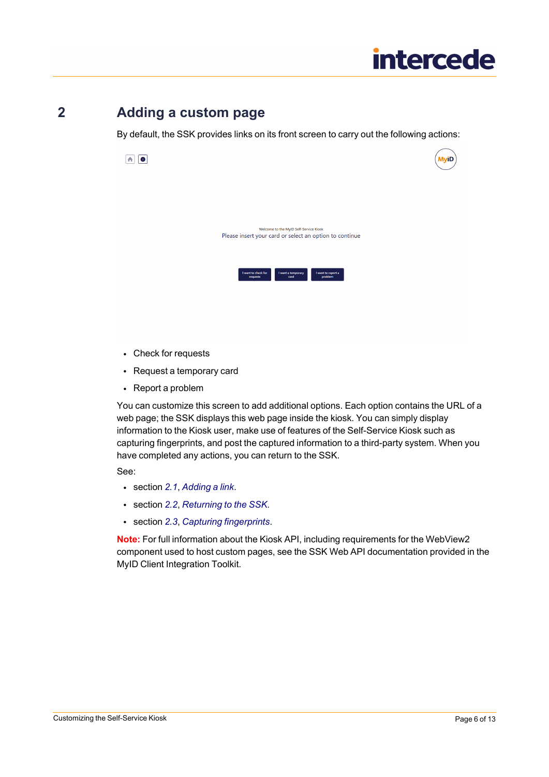### **2 Adding a custom page**

<span id="page-5-0"></span>By default, the SSK provides links on its front screen to carry out the following actions:



- Check for requests
- Request a temporary card
- Report a problem

You can customize this screen to add additional options. Each option contains the URL of a web page; the SSK displays this web page inside the kiosk. You can simply display information to the Kiosk user, make use of features of the Self-Service Kiosk such as capturing fingerprints, and post the captured information to a third-party system. When you have completed any actions, you can return to the SSK.

See:

- [section](#page-6-0) *2.1*, *Adding a link*.
- section *2.2*, *[Returning](#page-7-0) to the SSK*.
- section *2.3*, *Capturing [fingerprints](#page-8-0)*.

**Note:** For full information about the Kiosk API, including requirements for the WebView2 component used to host custom pages, see the SSK Web API documentation provided in the MyID Client Integration Toolkit.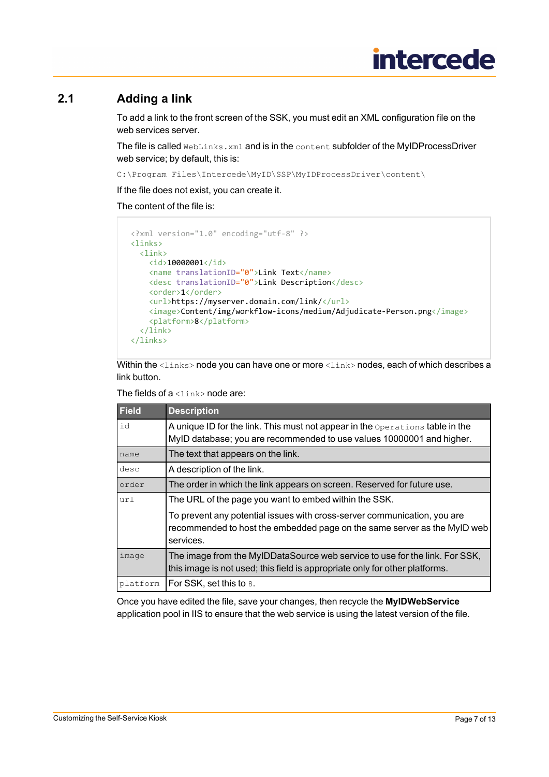#### **2.1 Adding a link**

<span id="page-6-0"></span>To add a link to the front screen of the SSK, you must edit an XML configuration file on the web services server.

The file is called WebLinks.xml and is in the content subfolder of the MyIDProcessDriver web service; by default, this is:

C:\Program Files\Intercede\MyID\SSP\MyIDProcessDriver\content\

If the file does not exist, you can create it.

The content of the file is:

```
<?xml version="1.0" encoding="utf-8" ?>
<links>
 <link>
   <id>10000001</id>
   <name translationID="0">Link Text</name>
   <desc translationID="0">Link Description</desc>
   <order>1</order>
   <url>https://myserver.domain.com/link/</url>
   <image>Content/img/workflow-icons/medium/Adjudicate-Person.png</image>
   <platform>8</platform>
 </link>
</links>
```
Within the  $\langle\,{\rm links}\rangle$  node you can have one or more  $\langle\,{\rm links}\rangle$  nodes, each of which describes a link button.

The fields of  $a \leq \lim_{k \to \infty}$  node are:

| <b>Field</b> | <b>Description</b>                                                                                                                                   |
|--------------|------------------------------------------------------------------------------------------------------------------------------------------------------|
| id           | A unique ID for the link. This must not appear in the Operations table in the                                                                        |
|              | MyID database; you are recommended to use values 10000001 and higher.                                                                                |
| name         | The text that appears on the link.                                                                                                                   |
| desc         | A description of the link.                                                                                                                           |
| order        | The order in which the link appears on screen. Reserved for future use.                                                                              |
| url          | The URL of the page you want to embed within the SSK.                                                                                                |
|              | To prevent any potential issues with cross-server communication, you are<br>recommended to host the embedded page on the same server as the MyID web |
|              | services.                                                                                                                                            |
| image        | The image from the MyIDDataSource web service to use for the link. For SSK,                                                                          |
|              | this image is not used; this field is appropriate only for other platforms.                                                                          |
| platform     | For SSK, set this to 8.                                                                                                                              |

Once you have edited the file, save your changes, then recycle the **MyIDWebService** application pool in IIS to ensure that the web service is using the latest version of the file.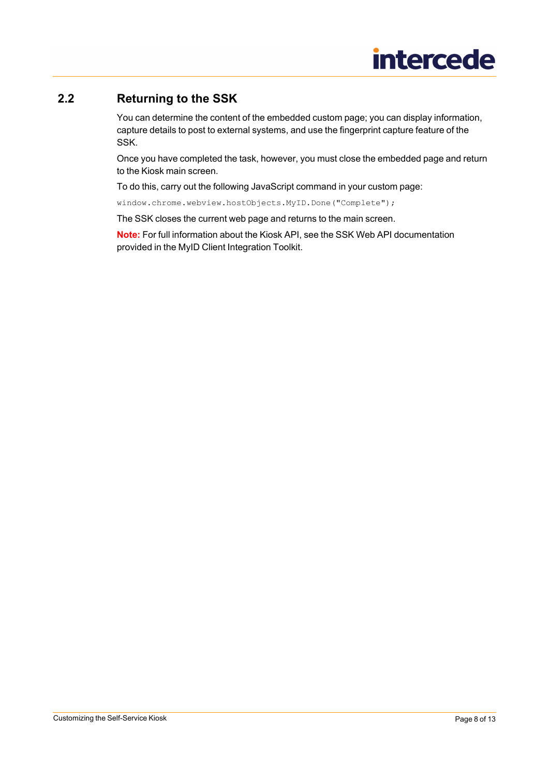#### **2.2 Returning to the SSK**

<span id="page-7-0"></span>You can determine the content of the embedded custom page; you can display information, capture details to post to external systems, and use the fingerprint capture feature of the SSK.

Once you have completed the task, however, you must close the embedded page and return to the Kiosk main screen.

To do this, carry out the following JavaScript command in your custom page:

window.chrome.webview.hostObjects.MyID.Done("Complete");

The SSK closes the current web page and returns to the main screen.

**Note:** For full information about the Kiosk API, see the SSK Web API documentation provided in the MyID Client Integration Toolkit.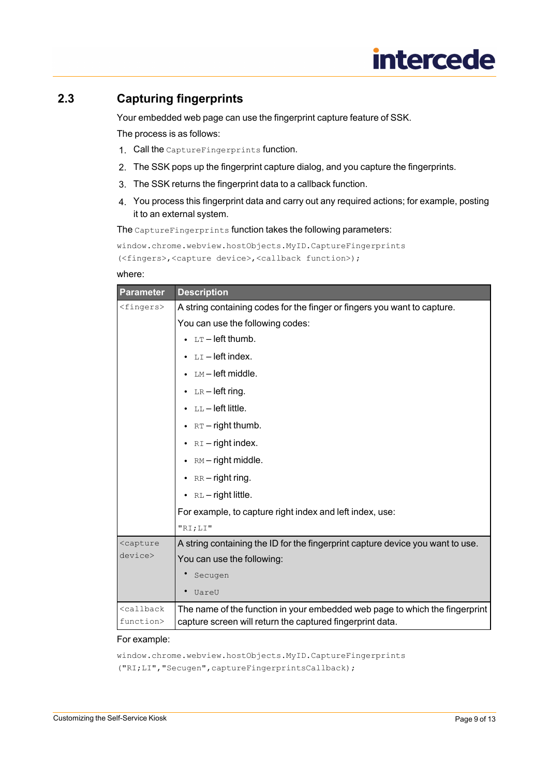#### **2.3 Capturing fingerprints**

<span id="page-8-0"></span>Your embedded web page can use the fingerprint capture feature of SSK.

The process is as follows:

- 1. Call the CaptureFingerprints function.
- 2. The SSK pops up the fingerprint capture dialog, and you capture the fingerprints.
- 3. The SSK returns the fingerprint data to a callback function.
- 4. You process this fingerprint data and carry out any required actions; for example, posting it to an external system.

The CaptureFingerprints function takes the following parameters:

```
window.chrome.webview.hostObjects.MyID.CaptureFingerprints
(<fingers>,<capture device>,<callback function>);
```
#### where:

| <b>Parameter</b>                                                                                                   | <b>Description</b>                                                             |
|--------------------------------------------------------------------------------------------------------------------|--------------------------------------------------------------------------------|
| <fingers></fingers>                                                                                                | A string containing codes for the finger or fingers you want to capture.       |
|                                                                                                                    | You can use the following codes:                                               |
|                                                                                                                    | • $LT$ – left thumb.                                                           |
|                                                                                                                    | $LI$ – left index.                                                             |
|                                                                                                                    | LM-left middle.                                                                |
|                                                                                                                    | $\bullet$ LR-left ring.                                                        |
|                                                                                                                    | $\bullet$ LL-left little.                                                      |
|                                                                                                                    | • $RT - right$ thumb.                                                          |
|                                                                                                                    | • $RI$ – right index.                                                          |
|                                                                                                                    | RM – right middle.                                                             |
|                                                                                                                    | $RR - right$ right ring.                                                       |
|                                                                                                                    | $\bullet$ RL - right little.                                                   |
|                                                                                                                    | For example, to capture right index and left index, use:                       |
|                                                                                                                    | "RI;LI"                                                                        |
| <capture< th=""><th>A string containing the ID for the fingerprint capture device you want to use.</th></capture<> | A string containing the ID for the fingerprint capture device you want to use. |
| device>                                                                                                            | You can use the following:                                                     |
|                                                                                                                    | Secugen                                                                        |
|                                                                                                                    | UareU                                                                          |
| <callback< th=""><th>The name of the function in your embedded web page to which the fingerprint</th></callback<>  | The name of the function in your embedded web page to which the fingerprint    |
| function>                                                                                                          | capture screen will return the captured fingerprint data.                      |

#### For example:

window.chrome.webview.hostObjects.MyID.CaptureFingerprints ("RI;LI","Secugen",captureFingerprintsCallback);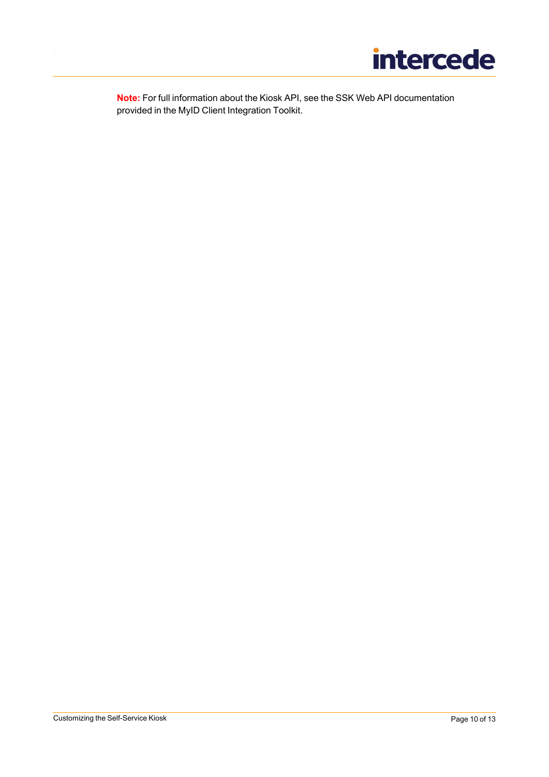

**Note:** For full information about the Kiosk API, see the SSK Web API documentation provided in the MyID Client Integration Toolkit.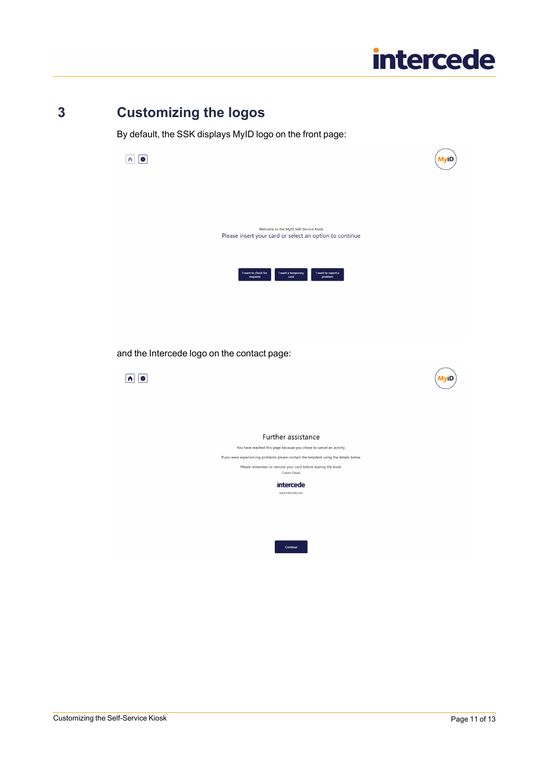### **3 Customizing the logos**

<span id="page-10-0"></span>By default, the SSK displays MyID logo on the front page:

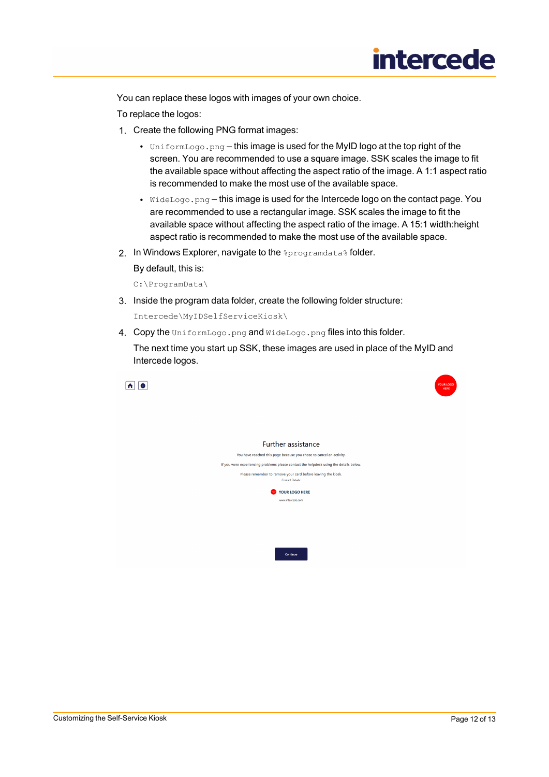You can replace these logos with images of your own choice.

To replace the logos:

- 1. Create the following PNG format images:
	- UniformLogo.png this image is used for the MyID logo at the top right of the screen. You are recommended to use a square image. SSK scales the image to fit the available space without affecting the aspect ratio of the image. A 1:1 aspect ratio is recommended to make the most use of the available space.
	- $\mathbb{W}$  ideLogo.png this image is used for the Intercede logo on the contact page. You are recommended to use a rectangular image. SSK scales the image to fit the available space without affecting the aspect ratio of the image. A 15:1 width:height aspect ratio is recommended to make the most use of the available space.
- 2. In Windows Explorer, navigate to the *\*programdata\** folder.

By default, this is:

C:\ProgramData\

3. Inside the program data folder, create the following folder structure:

Intercede\MyIDSelfServiceKiosk\

4. Copy the UniformLogo.png and WideLogo.png files into this folder.

The next time you start up SSK, these images are used in place of the MyID and Intercede logos.





#### Further assistance

You have reached this page because you chose to cancel an activity. If you were experiencing problems please contact the helpdesk using the details below. Please remember to remove your card before leaving the kiosk. YOUR LOGO HERE

Customizing the Self-Service Kiosk **Page 12 of 13** and the Self-Service Rise Research Page 12 of 13